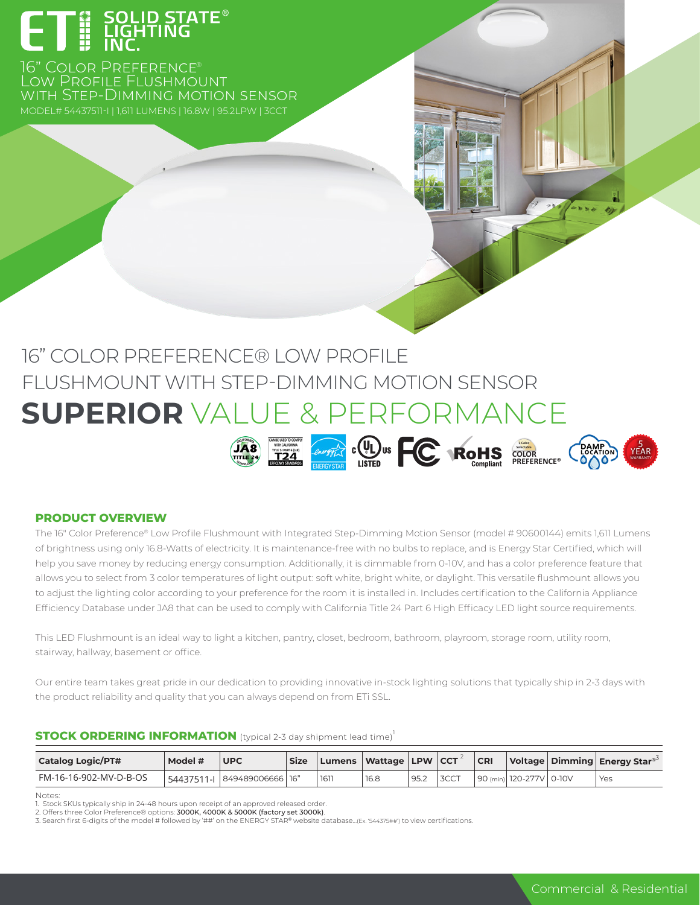# **- a** SOLID STATE®<br>- HI LIGHTING<br>- HI LIGHTING

16" COLOR PREFERENCE® Low Profile Flushmount with Step-Dimming motion sensor MODEL# 54437511-I | 1,611 LUMENS | 16.8W | 95.2LPW | 3CCT

# 16" COLOR PREFERENCE® LOW PROFILE FLUSHMOUNT WITH STEP-DIMMING MOTION SENSOR **SUPERIOR** VALUE & PERFORMANCE



# **PRODUCT OVERVIEW**

The 16" Color Preference® Low Profile Flushmount with Integrated Step-Dimming Motion Sensor (model # 90600144) emits 1,611 Lumens of brightness using only 16.8-Watts of electricity. It is maintenance-free with no bulbs to replace, and is Energy Star Certified, which will help you save money by reducing energy consumption. Additionally, it is dimmable from 0-10V, and has a color preference feature that allows you to select from 3 color temperatures of light output: soft white, bright white, or daylight. This versatile flushmount allows you to adjust the lighting color according to your preference for the room it is installed in. Includes certification to the California Appliance Efficiency Database under JA8 that can be used to comply with California Title 24 Part 6 High Efficacy LED light source requirements.

This LED Flushmount is an ideal way to light a kitchen, pantry, closet, bedroom, bathroom, playroom, storage room, utility room, stairway, hallway, basement or office.

Our entire team takes great pride in our dedication to providing innovative in-stock lighting solutions that typically ship in 2-3 days with the product reliability and quality that you can always depend on from ETi SSL.

# **STOCK ORDERING INFORMATION** (typical 2-3 day shipment lead time)<sup>1</sup>

| <b>Catalog Logic/PT#</b> | Model # | <b>UPC</b>                               | <b>Size</b> |     | Lumens   Wattage   LPW   CCT 1 |      |      | CR |                         | Voltage   Dimming   Energy Star <sup>®</sup> |
|--------------------------|---------|------------------------------------------|-------------|-----|--------------------------------|------|------|----|-------------------------|----------------------------------------------|
| FM-16-16-902-MV-D-B-OS   |         | <sup>1</sup> 54437511-1 849489006666 16" |             | 161 | 16.8                           | 95.2 | 3CCT |    | 90 (min) 120-277V 0-10V | Yes                                          |

Notes: 1. Stock SKUs typically ship in 24-48 hours upon receipt of an approved released order.

3. Search first 6-digits of the model # followed by '##' on the ENERGY STAR® website database...(Ex. '544375##') to view certifications.

<sup>2.</sup> Offers three Color Preference® options: 3000K, 4000K & 5000K (factory set 3000k).